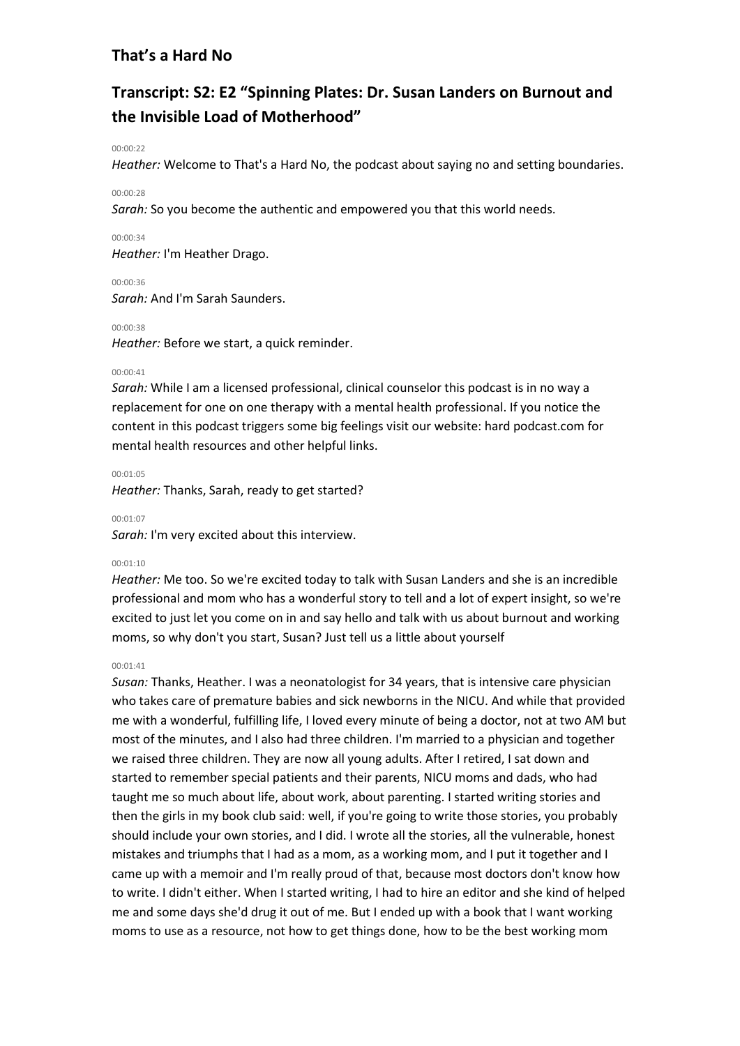# **Transcript: S2: E2 "Spinning Plates: Dr. Susan Landers on Burnout and the Invisible Load of Motherhood"**

## 00:00:22

*Heather:* Welcome to That's a Hard No, the podcast about saying no and setting boundaries.

# 00:00:28

*Sarah:* So you become the authentic and empowered you that this world needs.

# 00:00:34

*Heather:* I'm Heather Drago.

00:00:36

*Sarah:* And I'm Sarah Saunders.

# 00:00:38

*Heather:* Before we start, a quick reminder.

# 00:00:41

*Sarah:* While I am a licensed professional, clinical counselor this podcast is in no way a replacement for one on one therapy with a mental health professional. If you notice the content in this podcast triggers some big feelings visit our website: hard podcast.com for mental health resources and other helpful links.

#### 00:01:05

*Heather:* Thanks, Sarah, ready to get started?

## 00:01:07

*Sarah:* I'm very excited about this interview.

## 00:01:10

*Heather:* Me too. So we're excited today to talk with Susan Landers and she is an incredible professional and mom who has a wonderful story to tell and a lot of expert insight, so we're excited to just let you come on in and say hello and talk with us about burnout and working moms, so why don't you start, Susan? Just tell us a little about yourself

## 00:01:41

*Susan:* Thanks, Heather. I was a neonatologist for 34 years, that is intensive care physician who takes care of premature babies and sick newborns in the NICU. And while that provided me with a wonderful, fulfilling life, I loved every minute of being a doctor, not at two AM but most of the minutes, and I also had three children. I'm married to a physician and together we raised three children. They are now all young adults. After I retired, I sat down and started to remember special patients and their parents, NICU moms and dads, who had taught me so much about life, about work, about parenting. I started writing stories and then the girls in my book club said: well, if you're going to write those stories, you probably should include your own stories, and I did. I wrote all the stories, all the vulnerable, honest mistakes and triumphs that I had as a mom, as a working mom, and I put it together and I came up with a memoir and I'm really proud of that, because most doctors don't know how to write. I didn't either. When I started writing, I had to hire an editor and she kind of helped me and some days she'd drug it out of me. But I ended up with a book that I want working moms to use as a resource, not how to get things done, how to be the best working mom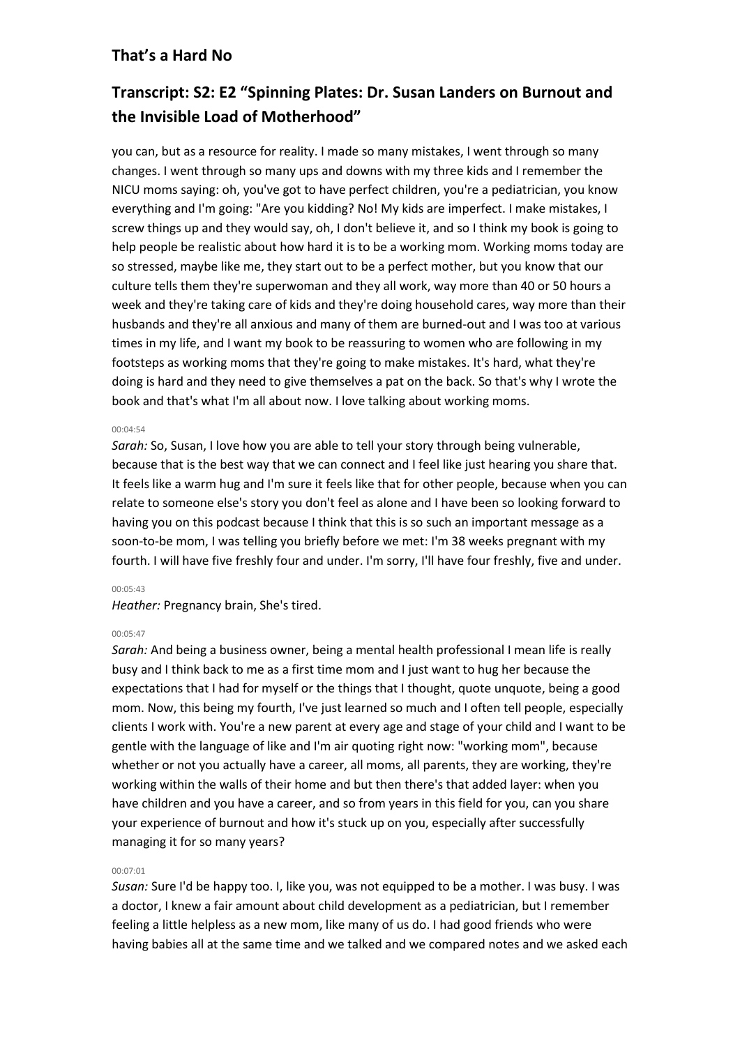# **Transcript: S2: E2 "Spinning Plates: Dr. Susan Landers on Burnout and the Invisible Load of Motherhood"**

you can, but as a resource for reality. I made so many mistakes, I went through so many changes. I went through so many ups and downs with my three kids and I remember the NICU moms saying: oh, you've got to have perfect children, you're a pediatrician, you know everything and I'm going: "Are you kidding? No! My kids are imperfect. I make mistakes, I screw things up and they would say, oh, I don't believe it, and so I think my book is going to help people be realistic about how hard it is to be a working mom. Working moms today are so stressed, maybe like me, they start out to be a perfect mother, but you know that our culture tells them they're superwoman and they all work, way more than 40 or 50 hours a week and they're taking care of kids and they're doing household cares, way more than their husbands and they're all anxious and many of them are burned-out and I was too at various times in my life, and I want my book to be reassuring to women who are following in my footsteps as working moms that they're going to make mistakes. It's hard, what they're doing is hard and they need to give themselves a pat on the back. So that's why I wrote the book and that's what I'm all about now. I love talking about working moms.

## 00:04:54

*Sarah:* So, Susan, I love how you are able to tell your story through being vulnerable, because that is the best way that we can connect and I feel like just hearing you share that. It feels like a warm hug and I'm sure it feels like that for other people, because when you can relate to someone else's story you don't feel as alone and I have been so looking forward to having you on this podcast because I think that this is so such an important message as a soon-to-be mom, I was telling you briefly before we met: I'm 38 weeks pregnant with my fourth. I will have five freshly four and under. I'm sorry, I'll have four freshly, five and under.

## 00:05:43

*Heather:* Pregnancy brain, She's tired.

# 00:05:47

*Sarah:* And being a business owner, being a mental health professional I mean life is really busy and I think back to me as a first time mom and I just want to hug her because the expectations that I had for myself or the things that I thought, quote unquote, being a good mom. Now, this being my fourth, I've just learned so much and I often tell people, especially clients I work with. You're a new parent at every age and stage of your child and I want to be gentle with the language of like and I'm air quoting right now: "working mom", because whether or not you actually have a career, all moms, all parents, they are working, they're working within the walls of their home and but then there's that added layer: when you have children and you have a career, and so from years in this field for you, can you share your experience of burnout and how it's stuck up on you, especially after successfully managing it for so many years?

# 00:07:01

*Susan:* Sure I'd be happy too. I, like you, was not equipped to be a mother. I was busy. I was a doctor, I knew a fair amount about child development as a pediatrician, but I remember feeling a little helpless as a new mom, like many of us do. I had good friends who were having babies all at the same time and we talked and we compared notes and we asked each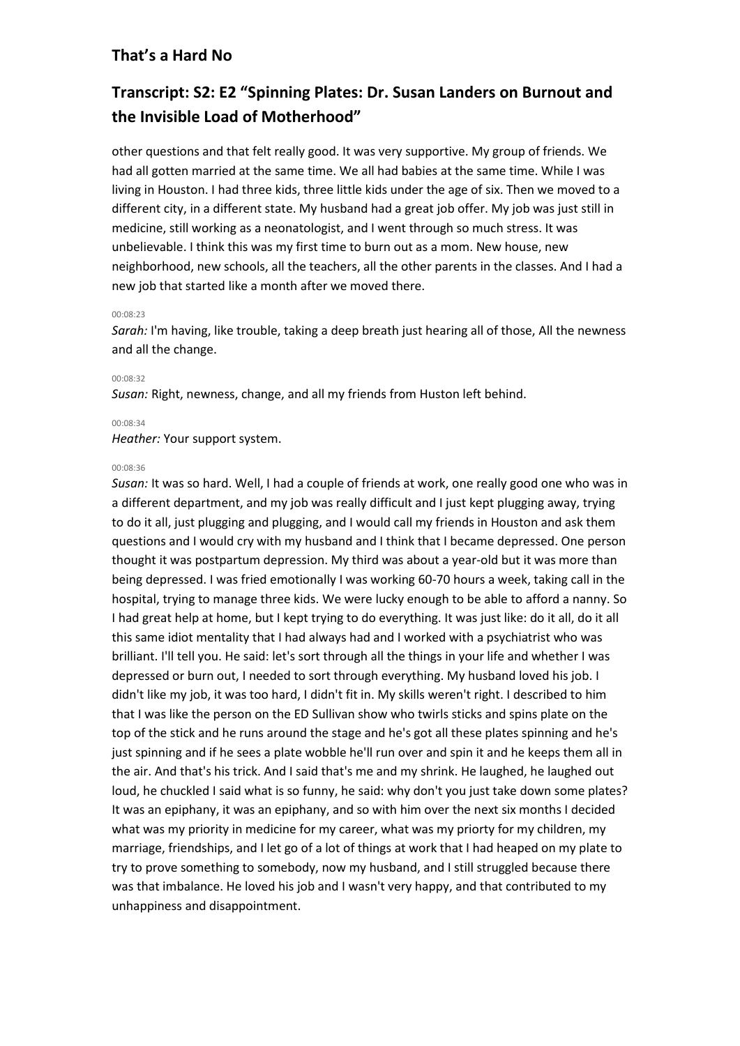# **Transcript: S2: E2 "Spinning Plates: Dr. Susan Landers on Burnout and the Invisible Load of Motherhood"**

other questions and that felt really good. It was very supportive. My group of friends. We had all gotten married at the same time. We all had babies at the same time. While I was living in Houston. I had three kids, three little kids under the age of six. Then we moved to a different city, in a different state. My husband had a great job offer. My job was just still in medicine, still working as a neonatologist, and I went through so much stress. It was unbelievable. I think this was my first time to burn out as a mom. New house, new neighborhood, new schools, all the teachers, all the other parents in the classes. And I had a new job that started like a month after we moved there.

#### 00:08:23

*Sarah:* I'm having, like trouble, taking a deep breath just hearing all of those, All the newness and all the change.

#### 00:08:32

*Susan:* Right, newness, change, and all my friends from Huston left behind.

#### 00:08:34

*Heather:* Your support system.

#### 00:08:36

*Susan:* It was so hard. Well, I had a couple of friends at work, one really good one who was in a different department, and my job was really difficult and I just kept plugging away, trying to do it all, just plugging and plugging, and I would call my friends in Houston and ask them questions and I would cry with my husband and I think that I became depressed. One person thought it was postpartum depression. My third was about a year-old but it was more than being depressed. I was fried emotionally I was working 60-70 hours a week, taking call in the hospital, trying to manage three kids. We were lucky enough to be able to afford a nanny. So I had great help at home, but I kept trying to do everything. It was just like: do it all, do it all this same idiot mentality that I had always had and I worked with a psychiatrist who was brilliant. I'll tell you. He said: let's sort through all the things in your life and whether I was depressed or burn out, I needed to sort through everything. My husband loved his job. I didn't like my job, it was too hard, I didn't fit in. My skills weren't right. I described to him that I was like the person on the ED Sullivan show who twirls sticks and spins plate on the top of the stick and he runs around the stage and he's got all these plates spinning and he's just spinning and if he sees a plate wobble he'll run over and spin it and he keeps them all in the air. And that's his trick. And I said that's me and my shrink. He laughed, he laughed out loud, he chuckled I said what is so funny, he said: why don't you just take down some plates? It was an epiphany, it was an epiphany, and so with him over the next six months I decided what was my priority in medicine for my career, what was my priorty for my children, my marriage, friendships, and I let go of a lot of things at work that I had heaped on my plate to try to prove something to somebody, now my husband, and I still struggled because there was that imbalance. He loved his job and I wasn't very happy, and that contributed to my unhappiness and disappointment.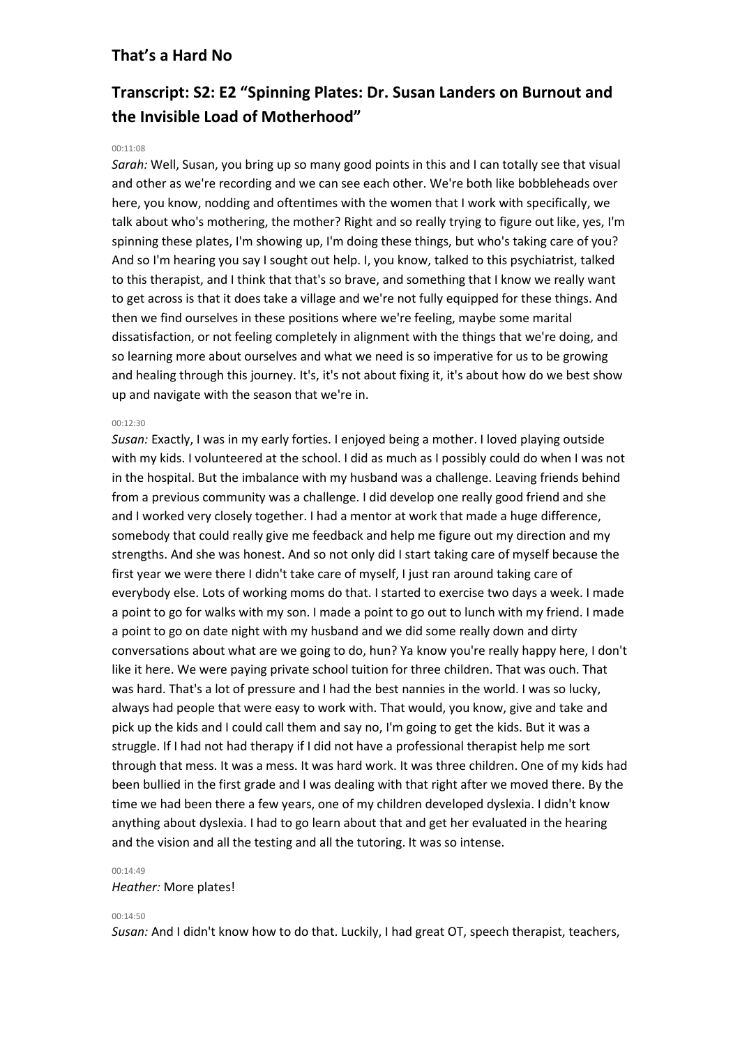# **Transcript: S2: E2 "Spinning Plates: Dr. Susan Landers on Burnout and the Invisible Load of Motherhood"**

### $00:11:08$

*Sarah:* Well, Susan, you bring up so many good points in this and I can totally see that visual and other as we're recording and we can see each other. We're both like bobbleheads over here, you know, nodding and oftentimes with the women that I work with specifically, we talk about who's mothering, the mother? Right and so really trying to figure out like, yes, I'm spinning these plates, I'm showing up, I'm doing these things, but who's taking care of you? And so I'm hearing you say I sought out help. I, you know, talked to this psychiatrist, talked to this therapist, and I think that that's so brave, and something that I know we really want to get across is that it does take a village and we're not fully equipped for these things. And then we find ourselves in these positions where we're feeling, maybe some marital dissatisfaction, or not feeling completely in alignment with the things that we're doing, and so learning more about ourselves and what we need is so imperative for us to be growing and healing through this journey. It's, it's not about fixing it, it's about how do we best show up and navigate with the season that we're in.

#### 00:12:30

*Susan:* Exactly, I was in my early forties. I enjoyed being a mother. I loved playing outside with my kids. I volunteered at the school. I did as much as I possibly could do when I was not in the hospital. But the imbalance with my husband was a challenge. Leaving friends behind from a previous community was a challenge. I did develop one really good friend and she and I worked very closely together. I had a mentor at work that made a huge difference, somebody that could really give me feedback and help me figure out my direction and my strengths. And she was honest. And so not only did I start taking care of myself because the first year we were there I didn't take care of myself, I just ran around taking care of everybody else. Lots of working moms do that. I started to exercise two days a week. I made a point to go for walks with my son. I made a point to go out to lunch with my friend. I made a point to go on date night with my husband and we did some really down and dirty conversations about what are we going to do, hun? Ya know you're really happy here, I don't like it here. We were paying private school tuition for three children. That was ouch. That was hard. That's a lot of pressure and I had the best nannies in the world. I was so lucky, always had people that were easy to work with. That would, you know, give and take and pick up the kids and I could call them and say no, I'm going to get the kids. But it was a struggle. If I had not had therapy if I did not have a professional therapist help me sort through that mess. It was a mess. It was hard work. It was three children. One of my kids had been bullied in the first grade and I was dealing with that right after we moved there. By the time we had been there a few years, one of my children developed dyslexia. I didn't know anything about dyslexia. I had to go learn about that and get her evaluated in the hearing and the vision and all the testing and all the tutoring. It was so intense.

#### 00:14:49

*Heather:* More plates!

00:14:50

*Susan:* And I didn't know how to do that. Luckily, I had great OT, speech therapist, teachers,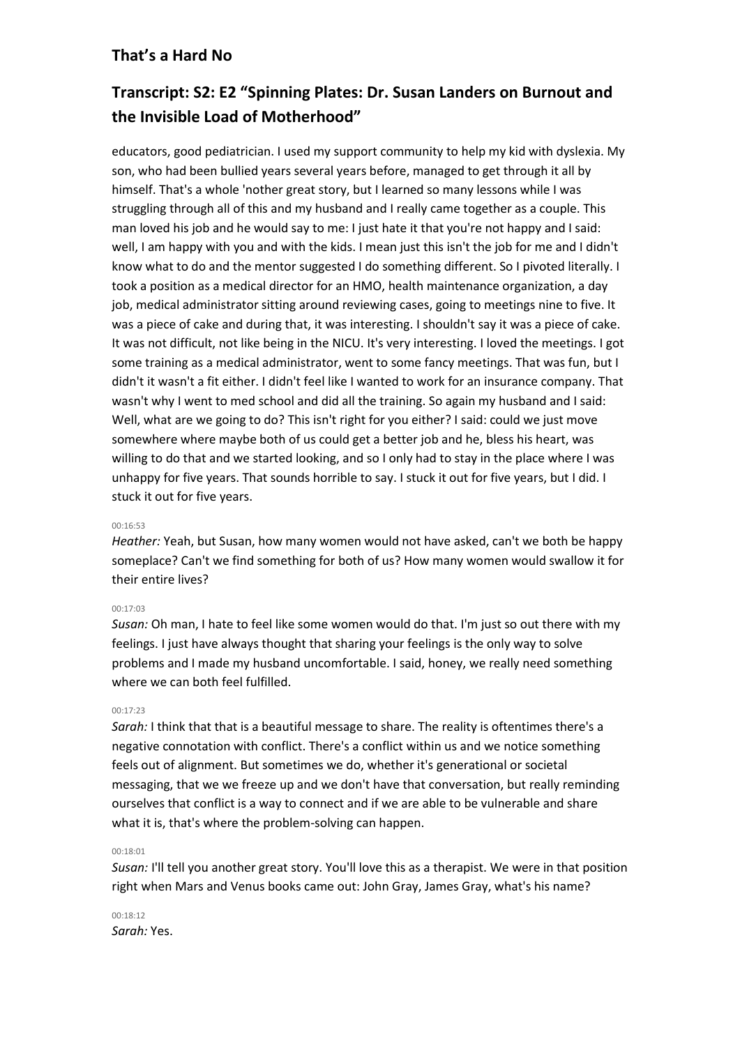# **Transcript: S2: E2 "Spinning Plates: Dr. Susan Landers on Burnout and the Invisible Load of Motherhood"**

educators, good pediatrician. I used my support community to help my kid with dyslexia. My son, who had been bullied years several years before, managed to get through it all by himself. That's a whole 'nother great story, but I learned so many lessons while I was struggling through all of this and my husband and I really came together as a couple. This man loved his job and he would say to me: I just hate it that you're not happy and I said: well, I am happy with you and with the kids. I mean just this isn't the job for me and I didn't know what to do and the mentor suggested I do something different. So I pivoted literally. I took a position as a medical director for an HMO, health maintenance organization, a day job, medical administrator sitting around reviewing cases, going to meetings nine to five. It was a piece of cake and during that, it was interesting. I shouldn't say it was a piece of cake. It was not difficult, not like being in the NICU. It's very interesting. I loved the meetings. I got some training as a medical administrator, went to some fancy meetings. That was fun, but I didn't it wasn't a fit either. I didn't feel like I wanted to work for an insurance company. That wasn't why I went to med school and did all the training. So again my husband and I said: Well, what are we going to do? This isn't right for you either? I said: could we just move somewhere where maybe both of us could get a better job and he, bless his heart, was willing to do that and we started looking, and so I only had to stay in the place where I was unhappy for five years. That sounds horrible to say. I stuck it out for five years, but I did. I stuck it out for five years.

# 00:16:53

*Heather:* Yeah, but Susan, how many women would not have asked, can't we both be happy someplace? Can't we find something for both of us? How many women would swallow it for their entire lives?

## 00:17:03

*Susan:* Oh man, I hate to feel like some women would do that. I'm just so out there with my feelings. I just have always thought that sharing your feelings is the only way to solve problems and I made my husband uncomfortable. I said, honey, we really need something where we can both feel fulfilled.

## 00:17:23

*Sarah:* I think that that is a beautiful message to share. The reality is oftentimes there's a negative connotation with conflict. There's a conflict within us and we notice something feels out of alignment. But sometimes we do, whether it's generational or societal messaging, that we we freeze up and we don't have that conversation, but really reminding ourselves that conflict is a way to connect and if we are able to be vulnerable and share what it is, that's where the problem-solving can happen.

# 00:18:01

*Susan:* I'll tell you another great story. You'll love this as a therapist. We were in that position right when Mars and Venus books came out: John Gray, James Gray, what's his name?

 $00.18.12$ *Sarah:* Yes.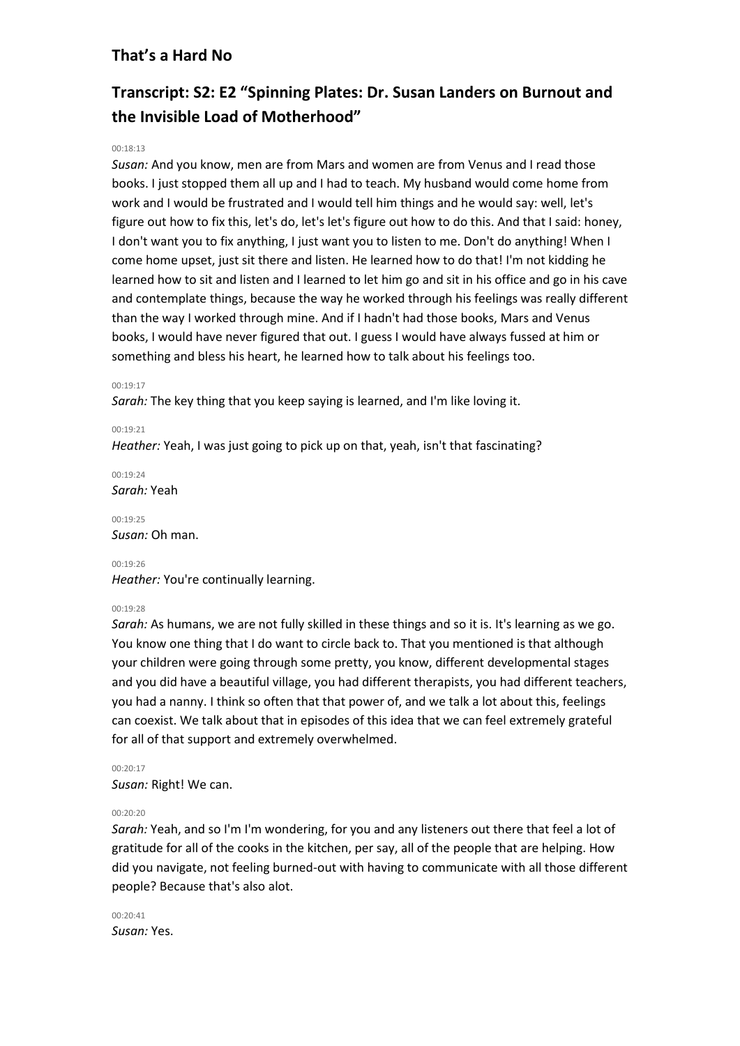# **Transcript: S2: E2 "Spinning Plates: Dr. Susan Landers on Burnout and the Invisible Load of Motherhood"**

# $00.18.13$

*Susan:* And you know, men are from Mars and women are from Venus and I read those books. I just stopped them all up and I had to teach. My husband would come home from work and I would be frustrated and I would tell him things and he would say: well, let's figure out how to fix this, let's do, let's let's figure out how to do this. And that I said: honey, I don't want you to fix anything, I just want you to listen to me. Don't do anything! When I come home upset, just sit there and listen. He learned how to do that! I'm not kidding he learned how to sit and listen and I learned to let him go and sit in his office and go in his cave and contemplate things, because the way he worked through his feelings was really different than the way I worked through mine. And if I hadn't had those books, Mars and Venus books, I would have never figured that out. I guess I would have always fussed at him or something and bless his heart, he learned how to talk about his feelings too.

## 00:19:17

*Sarah:* The key thing that you keep saying is learned, and I'm like loving it.

#### 00:19:21

*Heather:* Yeah, I was just going to pick up on that, yeah, isn't that fascinating?

 $00.19.24$ *Sarah:* Yeah

00:19:25 *Susan:* Oh man.

# 00:19:26

*Heather:* You're continually learning.

## $00.19.28$

*Sarah:* As humans, we are not fully skilled in these things and so it is. It's learning as we go. You know one thing that I do want to circle back to. That you mentioned is that although your children were going through some pretty, you know, different developmental stages and you did have a beautiful village, you had different therapists, you had different teachers, you had a nanny. I think so often that that power of, and we talk a lot about this, feelings can coexist. We talk about that in episodes of this idea that we can feel extremely grateful for all of that support and extremely overwhelmed.

00:20:17

*Susan:* Right! We can.

## 00:20:20

*Sarah:* Yeah, and so I'm I'm wondering, for you and any listeners out there that feel a lot of gratitude for all of the cooks in the kitchen, per say, all of the people that are helping. How did you navigate, not feeling burned-out with having to communicate with all those different people? Because that's also alot.

00:20:41 *Susan:* Yes.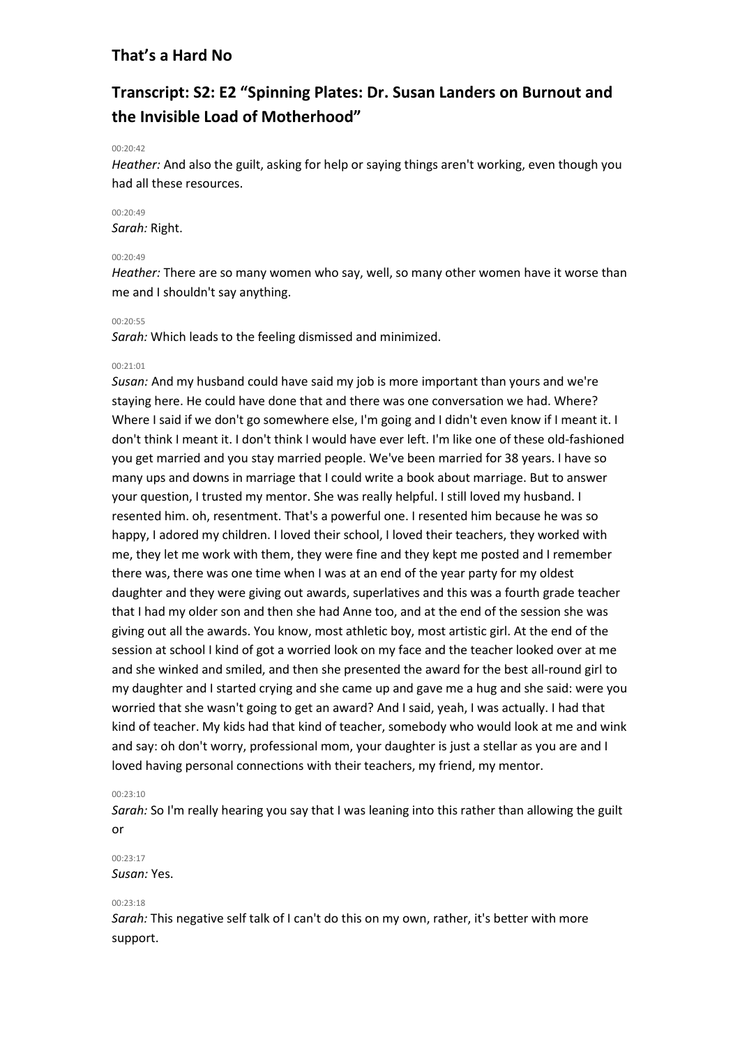# **Transcript: S2: E2 "Spinning Plates: Dr. Susan Landers on Burnout and the Invisible Load of Motherhood"**

## $00.20.42$

*Heather:* And also the guilt, asking for help or saying things aren't working, even though you had all these resources.

# $00.20.49$

*Sarah:* Right.

# $00.20.49$

*Heather:* There are so many women who say, well, so many other women have it worse than me and I shouldn't say anything.

#### 00:20:55

*Sarah:* Which leads to the feeling dismissed and minimized.

## 00:21:01

*Susan:* And my husband could have said my job is more important than yours and we're staying here. He could have done that and there was one conversation we had. Where? Where I said if we don't go somewhere else, I'm going and I didn't even know if I meant it. I don't think I meant it. I don't think I would have ever left. I'm like one of these old-fashioned you get married and you stay married people. We've been married for 38 years. I have so many ups and downs in marriage that I could write a book about marriage. But to answer your question, I trusted my mentor. She was really helpful. I still loved my husband. I resented him. oh, resentment. That's a powerful one. I resented him because he was so happy, I adored my children. I loved their school, I loved their teachers, they worked with me, they let me work with them, they were fine and they kept me posted and I remember there was, there was one time when I was at an end of the year party for my oldest daughter and they were giving out awards, superlatives and this was a fourth grade teacher that I had my older son and then she had Anne too, and at the end of the session she was giving out all the awards. You know, most athletic boy, most artistic girl. At the end of the session at school I kind of got a worried look on my face and the teacher looked over at me and she winked and smiled, and then she presented the award for the best all-round girl to my daughter and I started crying and she came up and gave me a hug and she said: were you worried that she wasn't going to get an award? And I said, yeah, I was actually. I had that kind of teacher. My kids had that kind of teacher, somebody who would look at me and wink and say: oh don't worry, professional mom, your daughter is just a stellar as you are and I loved having personal connections with their teachers, my friend, my mentor.

# 00:23:10

*Sarah:* So I'm really hearing you say that I was leaning into this rather than allowing the guilt or

# 00:23:17 *Susan:* Yes.

#### 00:23:18

*Sarah:* This negative self talk of I can't do this on my own, rather, it's better with more support.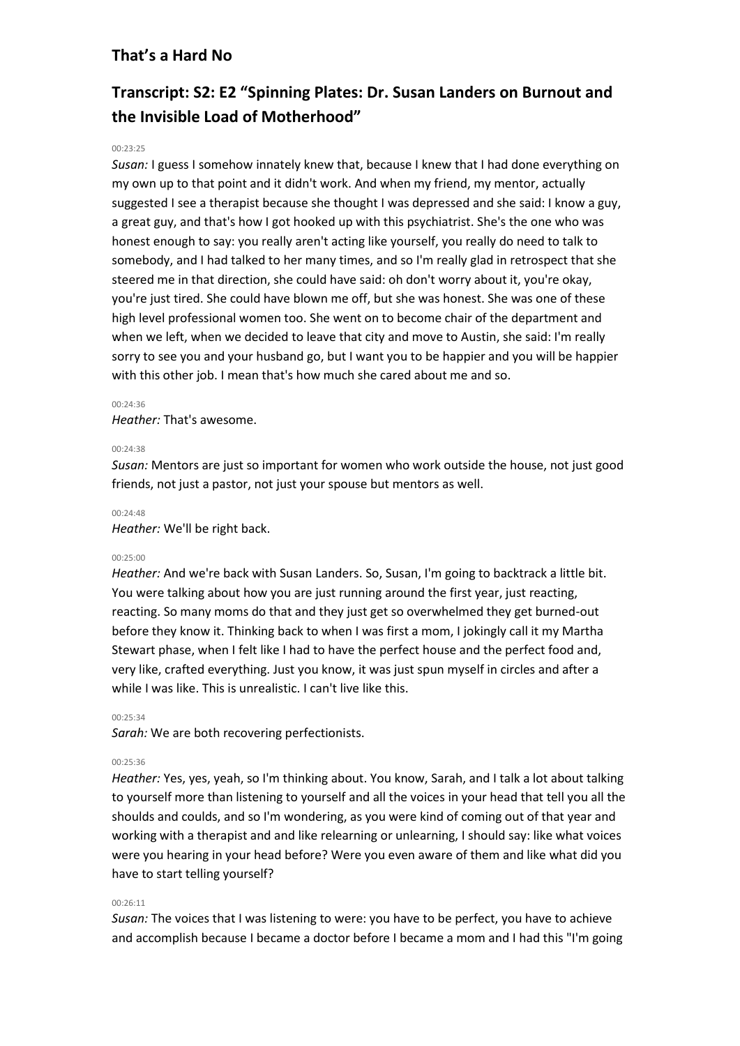# **Transcript: S2: E2 "Spinning Plates: Dr. Susan Landers on Burnout and the Invisible Load of Motherhood"**

## 00:23:25

*Susan:* I guess I somehow innately knew that, because I knew that I had done everything on my own up to that point and it didn't work. And when my friend, my mentor, actually suggested I see a therapist because she thought I was depressed and she said: I know a guy, a great guy, and that's how I got hooked up with this psychiatrist. She's the one who was honest enough to say: you really aren't acting like yourself, you really do need to talk to somebody, and I had talked to her many times, and so I'm really glad in retrospect that she steered me in that direction, she could have said: oh don't worry about it, you're okay, you're just tired. She could have blown me off, but she was honest. She was one of these high level professional women too. She went on to become chair of the department and when we left, when we decided to leave that city and move to Austin, she said: I'm really sorry to see you and your husband go, but I want you to be happier and you will be happier with this other job. I mean that's how much she cared about me and so.

#### 00:24:36

*Heather:* That's awesome.

#### 00:24:38

*Susan:* Mentors are just so important for women who work outside the house, not just good friends, not just a pastor, not just your spouse but mentors as well.

#### 00:24:48

*Heather:* We'll be right back.

#### 00:25:00

*Heather:* And we're back with Susan Landers. So, Susan, I'm going to backtrack a little bit. You were talking about how you are just running around the first year, just reacting, reacting. So many moms do that and they just get so overwhelmed they get burned-out before they know it. Thinking back to when I was first a mom, I jokingly call it my Martha Stewart phase, when I felt like I had to have the perfect house and the perfect food and, very like, crafted everything. Just you know, it was just spun myself in circles and after a while I was like. This is unrealistic. I can't live like this.

#### 00:25:34

*Sarah:* We are both recovering perfectionists.

## 00:25:36

*Heather:* Yes, yes, yeah, so I'm thinking about. You know, Sarah, and I talk a lot about talking to yourself more than listening to yourself and all the voices in your head that tell you all the shoulds and coulds, and so I'm wondering, as you were kind of coming out of that year and working with a therapist and and like relearning or unlearning, I should say: like what voices were you hearing in your head before? Were you even aware of them and like what did you have to start telling yourself?

### 00:26:11

*Susan:* The voices that I was listening to were: you have to be perfect, you have to achieve and accomplish because I became a doctor before I became a mom and I had this "I'm going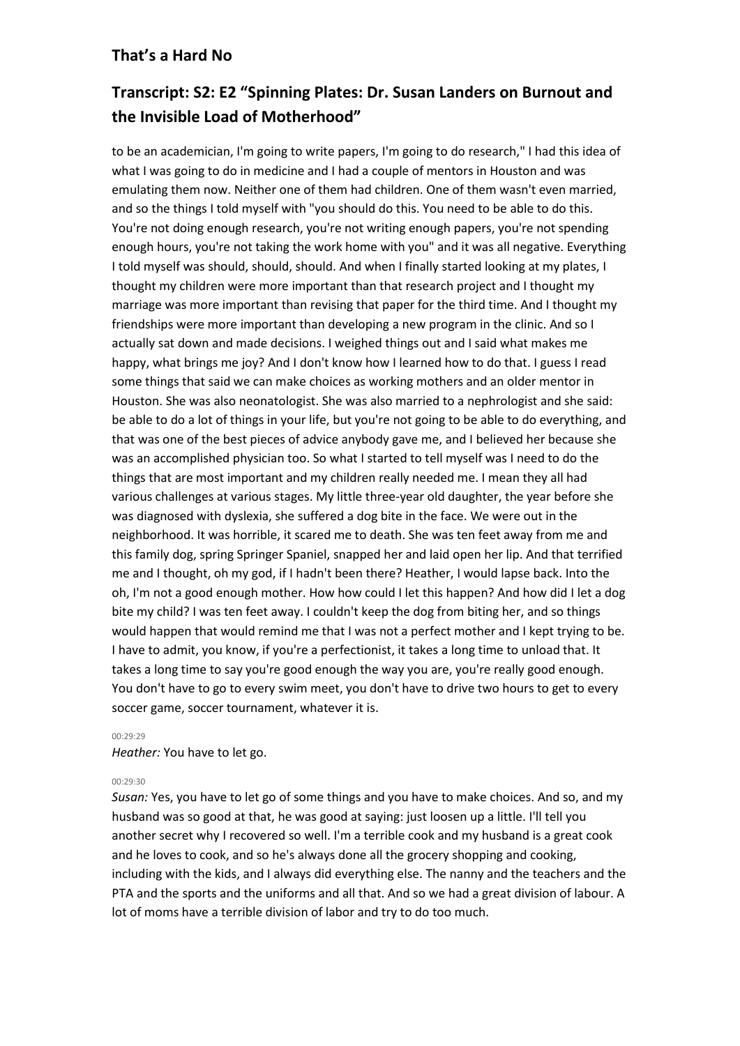# **Transcript: S2: E2 "Spinning Plates: Dr. Susan Landers on Burnout and the Invisible Load of Motherhood"**

to be an academician, I'm going to write papers, I'm going to do research," I had this idea of what I was going to do in medicine and I had a couple of mentors in Houston and was emulating them now. Neither one of them had children. One of them wasn't even married, and so the things I told myself with "you should do this. You need to be able to do this. You're not doing enough research, you're not writing enough papers, you're not spending enough hours, you're not taking the work home with you" and it was all negative. Everything I told myself was should, should, should. And when I finally started looking at my plates, I thought my children were more important than that research project and I thought my marriage was more important than revising that paper for the third time. And I thought my friendships were more important than developing a new program in the clinic. And so I actually sat down and made decisions. I weighed things out and I said what makes me happy, what brings me joy? And I don't know how I learned how to do that. I guess I read some things that said we can make choices as working mothers and an older mentor in Houston. She was also neonatologist. She was also married to a nephrologist and she said: be able to do a lot of things in your life, but you're not going to be able to do everything, and that was one of the best pieces of advice anybody gave me, and I believed her because she was an accomplished physician too. So what I started to tell myself was I need to do the things that are most important and my children really needed me. I mean they all had various challenges at various stages. My little three-year old daughter, the year before she was diagnosed with dyslexia, she suffered a dog bite in the face. We were out in the neighborhood. It was horrible, it scared me to death. She was ten feet away from me and this family dog, spring Springer Spaniel, snapped her and laid open her lip. And that terrified me and I thought, oh my god, if I hadn't been there? Heather, I would lapse back. Into the oh, I'm not a good enough mother. How how could I let this happen? And how did I let a dog bite my child? I was ten feet away. I couldn't keep the dog from biting her, and so things would happen that would remind me that I was not a perfect mother and I kept trying to be. I have to admit, you know, if you're a perfectionist, it takes a long time to unload that. It takes a long time to say you're good enough the way you are, you're really good enough. You don't have to go to every swim meet, you don't have to drive two hours to get to every soccer game, soccer tournament, whatever it is.

## 00:29:29

*Heather:* You have to let go.

# 00:29:30

*Susan:* Yes, you have to let go of some things and you have to make choices. And so, and my husband was so good at that, he was good at saying: just loosen up a little. I'll tell you another secret why I recovered so well. I'm a terrible cook and my husband is a great cook and he loves to cook, and so he's always done all the grocery shopping and cooking, including with the kids, and I always did everything else. The nanny and the teachers and the PTA and the sports and the uniforms and all that. And so we had a great division of labour. A lot of moms have a terrible division of labor and try to do too much.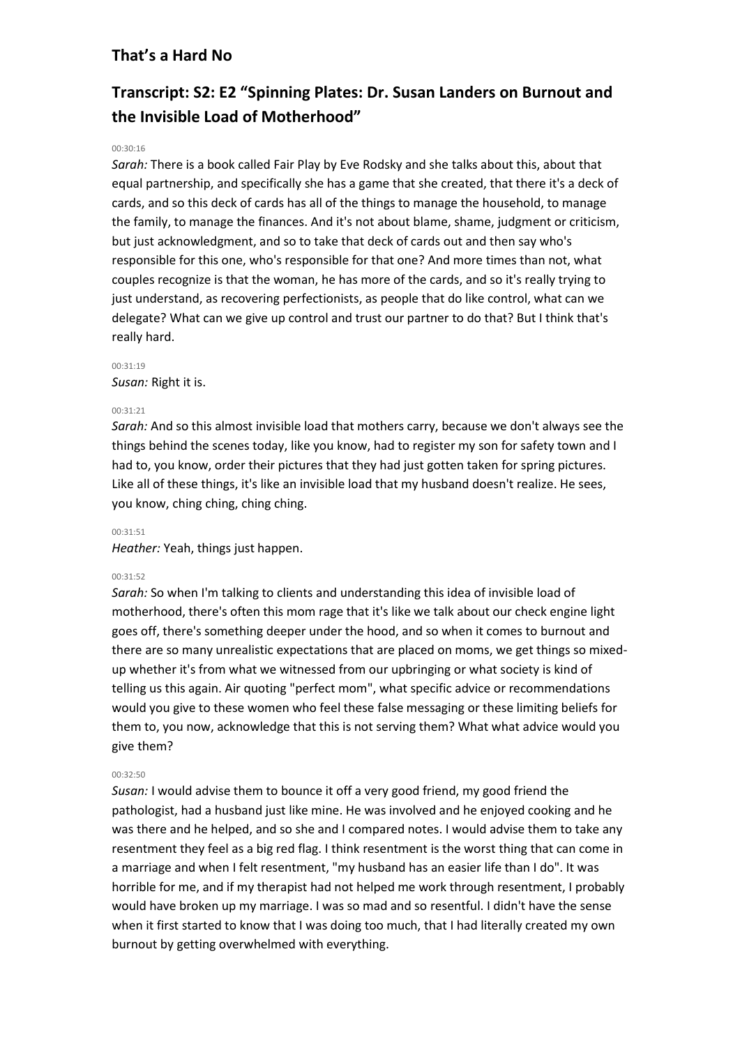# **Transcript: S2: E2 "Spinning Plates: Dr. Susan Landers on Burnout and the Invisible Load of Motherhood"**

## 00:30:16

*Sarah:* There is a book called Fair Play by Eve Rodsky and she talks about this, about that equal partnership, and specifically she has a game that she created, that there it's a deck of cards, and so this deck of cards has all of the things to manage the household, to manage the family, to manage the finances. And it's not about blame, shame, judgment or criticism, but just acknowledgment, and so to take that deck of cards out and then say who's responsible for this one, who's responsible for that one? And more times than not, what couples recognize is that the woman, he has more of the cards, and so it's really trying to just understand, as recovering perfectionists, as people that do like control, what can we delegate? What can we give up control and trust our partner to do that? But I think that's really hard.

#### 00:31:19

*Susan:* Right it is.

## 00:31:21

*Sarah:* And so this almost invisible load that mothers carry, because we don't always see the things behind the scenes today, like you know, had to register my son for safety town and I had to, you know, order their pictures that they had just gotten taken for spring pictures. Like all of these things, it's like an invisible load that my husband doesn't realize. He sees, you know, ching ching, ching ching.

#### 00:31:51

*Heather:* Yeah, things just happen.

#### 00:31:52

*Sarah:* So when I'm talking to clients and understanding this idea of invisible load of motherhood, there's often this mom rage that it's like we talk about our check engine light goes off, there's something deeper under the hood, and so when it comes to burnout and there are so many unrealistic expectations that are placed on moms, we get things so mixedup whether it's from what we witnessed from our upbringing or what society is kind of telling us this again. Air quoting "perfect mom", what specific advice or recommendations would you give to these women who feel these false messaging or these limiting beliefs for them to, you now, acknowledge that this is not serving them? What what advice would you give them?

#### 00:32:50

*Susan:* I would advise them to bounce it off a very good friend, my good friend the pathologist, had a husband just like mine. He was involved and he enjoyed cooking and he was there and he helped, and so she and I compared notes. I would advise them to take any resentment they feel as a big red flag. I think resentment is the worst thing that can come in a marriage and when I felt resentment, "my husband has an easier life than I do". It was horrible for me, and if my therapist had not helped me work through resentment, I probably would have broken up my marriage. I was so mad and so resentful. I didn't have the sense when it first started to know that I was doing too much, that I had literally created my own burnout by getting overwhelmed with everything.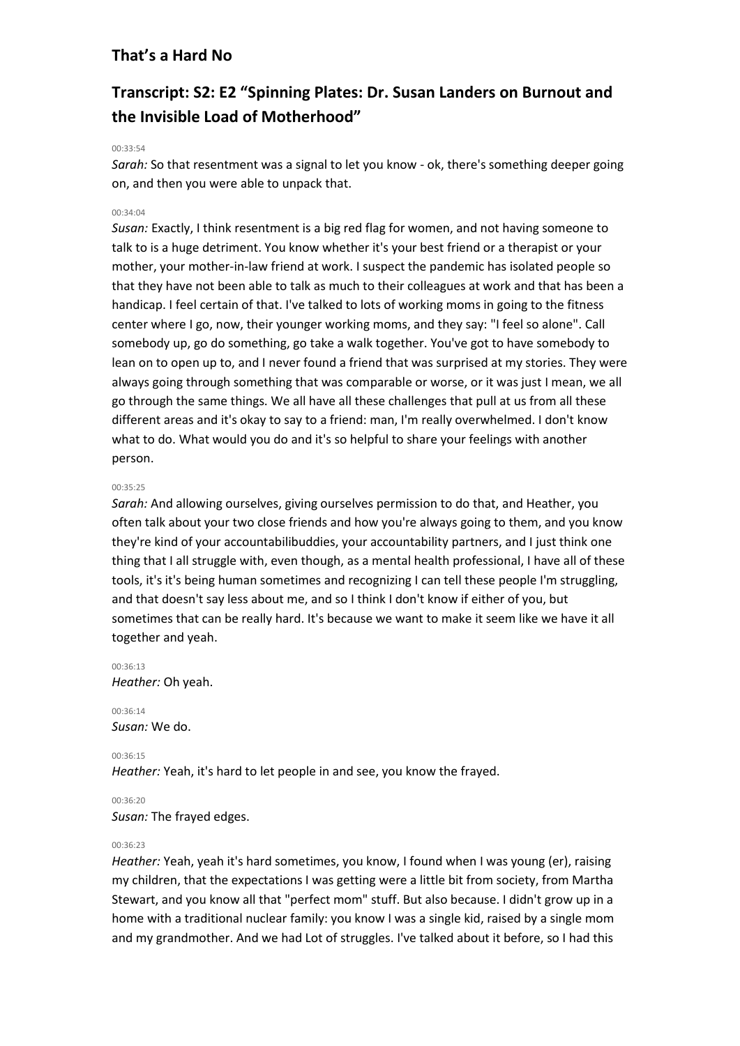# **Transcript: S2: E2 "Spinning Plates: Dr. Susan Landers on Burnout and the Invisible Load of Motherhood"**

### 00:33:54

*Sarah:* So that resentment was a signal to let you know - ok, there's something deeper going on, and then you were able to unpack that.

# 00:34:04

*Susan:* Exactly, I think resentment is a big red flag for women, and not having someone to talk to is a huge detriment. You know whether it's your best friend or a therapist or your mother, your mother-in-law friend at work. I suspect the pandemic has isolated people so that they have not been able to talk as much to their colleagues at work and that has been a handicap. I feel certain of that. I've talked to lots of working moms in going to the fitness center where I go, now, their younger working moms, and they say: "I feel so alone". Call somebody up, go do something, go take a walk together. You've got to have somebody to lean on to open up to, and I never found a friend that was surprised at my stories. They were always going through something that was comparable or worse, or it was just I mean, we all go through the same things. We all have all these challenges that pull at us from all these different areas and it's okay to say to a friend: man, I'm really overwhelmed. I don't know what to do. What would you do and it's so helpful to share your feelings with another person.

#### 00:35:25

*Sarah:* And allowing ourselves, giving ourselves permission to do that, and Heather, you often talk about your two close friends and how you're always going to them, and you know they're kind of your accountabilibuddies, your accountability partners, and I just think one thing that I all struggle with, even though, as a mental health professional, I have all of these tools, it's it's being human sometimes and recognizing I can tell these people I'm struggling, and that doesn't say less about me, and so I think I don't know if either of you, but sometimes that can be really hard. It's because we want to make it seem like we have it all together and yeah.

00:36:13 *Heather:* Oh yeah.

00:36:14 *Susan:* We do.

00:36:15

*Heather:* Yeah, it's hard to let people in and see, you know the frayed.

#### 00:36:20

*Susan:* The frayed edges.

#### 00:36:23

*Heather:* Yeah, yeah it's hard sometimes, you know, I found when I was young (er), raising my children, that the expectations I was getting were a little bit from society, from Martha Stewart, and you know all that "perfect mom" stuff. But also because. I didn't grow up in a home with a traditional nuclear family: you know I was a single kid, raised by a single mom and my grandmother. And we had Lot of struggles. I've talked about it before, so I had this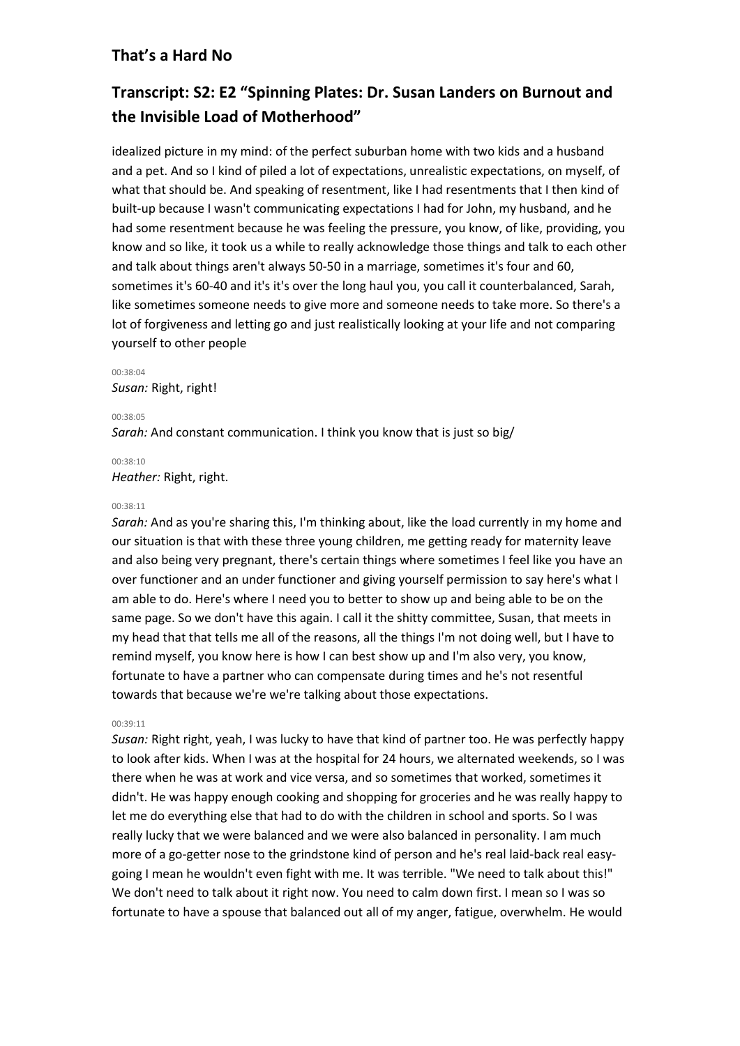# **Transcript: S2: E2 "Spinning Plates: Dr. Susan Landers on Burnout and the Invisible Load of Motherhood"**

idealized picture in my mind: of the perfect suburban home with two kids and a husband and a pet. And so I kind of piled a lot of expectations, unrealistic expectations, on myself, of what that should be. And speaking of resentment, like I had resentments that I then kind of built-up because I wasn't communicating expectations I had for John, my husband, and he had some resentment because he was feeling the pressure, you know, of like, providing, you know and so like, it took us a while to really acknowledge those things and talk to each other and talk about things aren't always 50-50 in a marriage, sometimes it's four and 60, sometimes it's 60-40 and it's it's over the long haul you, you call it counterbalanced, Sarah, like sometimes someone needs to give more and someone needs to take more. So there's a lot of forgiveness and letting go and just realistically looking at your life and not comparing yourself to other people

# 00:38:04 *Susan:* Right, right!

00:38:05

*Sarah:* And constant communication. I think you know that is just so big/

00:38:10

*Heather:* Right, right.

## 00:38:11

*Sarah:* And as you're sharing this, I'm thinking about, like the load currently in my home and our situation is that with these three young children, me getting ready for maternity leave and also being very pregnant, there's certain things where sometimes I feel like you have an over functioner and an under functioner and giving yourself permission to say here's what I am able to do. Here's where I need you to better to show up and being able to be on the same page. So we don't have this again. I call it the shitty committee, Susan, that meets in my head that that tells me all of the reasons, all the things I'm not doing well, but I have to remind myself, you know here is how I can best show up and I'm also very, you know, fortunate to have a partner who can compensate during times and he's not resentful towards that because we're we're talking about those expectations.

# 00:39:11

*Susan:* Right right, yeah, I was lucky to have that kind of partner too. He was perfectly happy to look after kids. When I was at the hospital for 24 hours, we alternated weekends, so I was there when he was at work and vice versa, and so sometimes that worked, sometimes it didn't. He was happy enough cooking and shopping for groceries and he was really happy to let me do everything else that had to do with the children in school and sports. So I was really lucky that we were balanced and we were also balanced in personality. I am much more of a go-getter nose to the grindstone kind of person and he's real laid-back real easygoing I mean he wouldn't even fight with me. It was terrible. "We need to talk about this!" We don't need to talk about it right now. You need to calm down first. I mean so I was so fortunate to have a spouse that balanced out all of my anger, fatigue, overwhelm. He would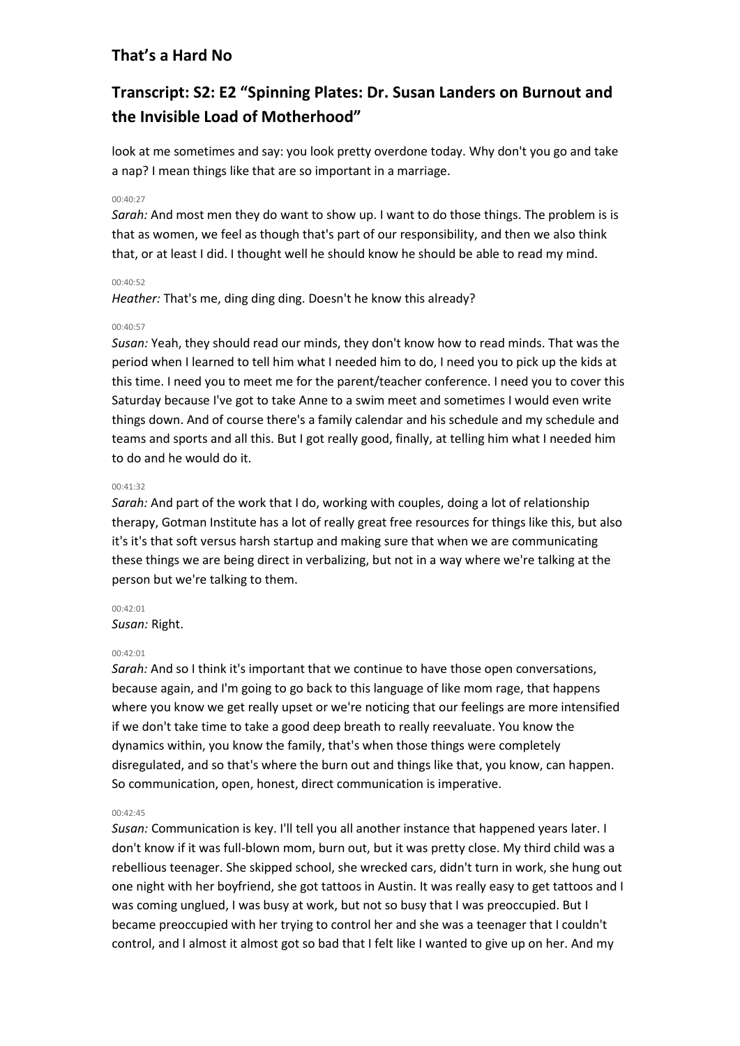# **Transcript: S2: E2 "Spinning Plates: Dr. Susan Landers on Burnout and the Invisible Load of Motherhood"**

look at me sometimes and say: you look pretty overdone today. Why don't you go and take a nap? I mean things like that are so important in a marriage.

# 00:40:27

*Sarah:* And most men they do want to show up. I want to do those things. The problem is is that as women, we feel as though that's part of our responsibility, and then we also think that, or at least I did. I thought well he should know he should be able to read my mind.

# 00:40:52

*Heather:* That's me, ding ding ding. Doesn't he know this already?

# 00:40:57

*Susan:* Yeah, they should read our minds, they don't know how to read minds. That was the period when I learned to tell him what I needed him to do, I need you to pick up the kids at this time. I need you to meet me for the parent/teacher conference. I need you to cover this Saturday because I've got to take Anne to a swim meet and sometimes I would even write things down. And of course there's a family calendar and his schedule and my schedule and teams and sports and all this. But I got really good, finally, at telling him what I needed him to do and he would do it.

# $00.41.32$

*Sarah:* And part of the work that I do, working with couples, doing a lot of relationship therapy, Gotman Institute has a lot of really great free resources for things like this, but also it's it's that soft versus harsh startup and making sure that when we are communicating these things we are being direct in verbalizing, but not in a way where we're talking at the person but we're talking to them.

## 00:42:01

*Susan:* Right.

# 00:42:01

*Sarah:* And so I think it's important that we continue to have those open conversations, because again, and I'm going to go back to this language of like mom rage, that happens where you know we get really upset or we're noticing that our feelings are more intensified if we don't take time to take a good deep breath to really reevaluate. You know the dynamics within, you know the family, that's when those things were completely disregulated, and so that's where the burn out and things like that, you know, can happen. So communication, open, honest, direct communication is imperative.

## 00:42:45

*Susan:* Communication is key. I'll tell you all another instance that happened years later. I don't know if it was full-blown mom, burn out, but it was pretty close. My third child was a rebellious teenager. She skipped school, she wrecked cars, didn't turn in work, she hung out one night with her boyfriend, she got tattoos in Austin. It was really easy to get tattoos and I was coming unglued, I was busy at work, but not so busy that I was preoccupied. But I became preoccupied with her trying to control her and she was a teenager that I couldn't control, and I almost it almost got so bad that I felt like I wanted to give up on her. And my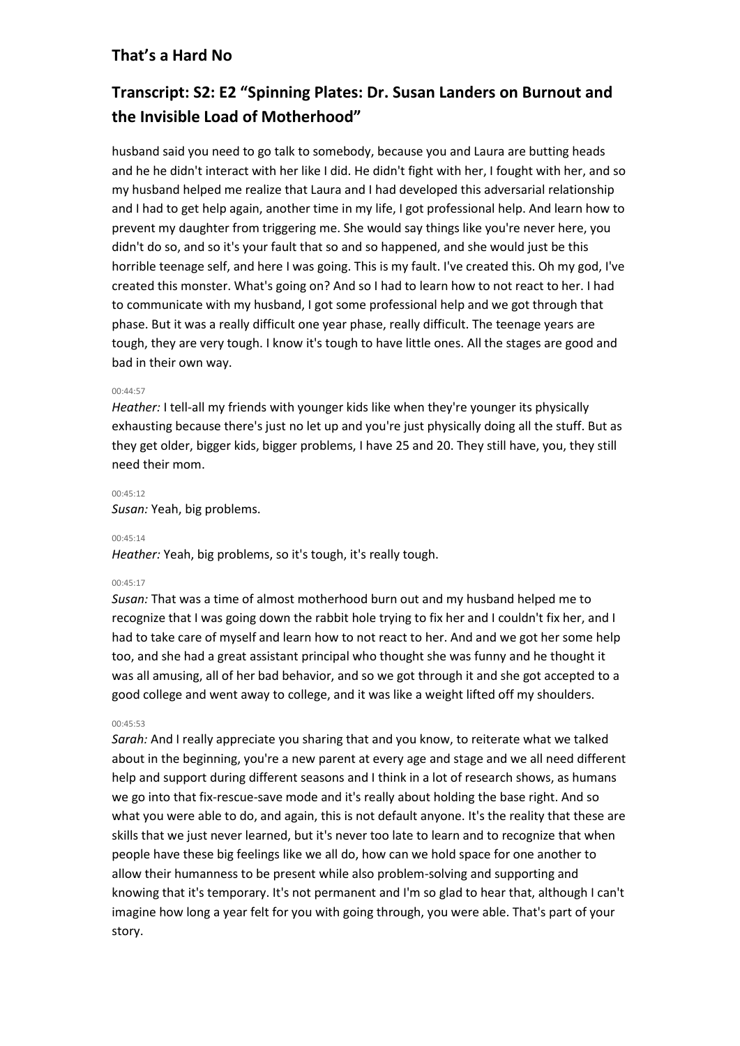# **Transcript: S2: E2 "Spinning Plates: Dr. Susan Landers on Burnout and the Invisible Load of Motherhood"**

husband said you need to go talk to somebody, because you and Laura are butting heads and he he didn't interact with her like I did. He didn't fight with her, I fought with her, and so my husband helped me realize that Laura and I had developed this adversarial relationship and I had to get help again, another time in my life, I got professional help. And learn how to prevent my daughter from triggering me. She would say things like you're never here, you didn't do so, and so it's your fault that so and so happened, and she would just be this horrible teenage self, and here I was going. This is my fault. I've created this. Oh my god, I've created this monster. What's going on? And so I had to learn how to not react to her. I had to communicate with my husband, I got some professional help and we got through that phase. But it was a really difficult one year phase, really difficult. The teenage years are tough, they are very tough. I know it's tough to have little ones. All the stages are good and bad in their own way.

# 00:44:57

*Heather:* I tell-all my friends with younger kids like when they're younger its physically exhausting because there's just no let up and you're just physically doing all the stuff. But as they get older, bigger kids, bigger problems, I have 25 and 20. They still have, you, they still need their mom.

## 00:45:12

*Susan:* Yeah, big problems.

## 00:45:14

*Heather:* Yeah, big problems, so it's tough, it's really tough.

## 00:45:17

*Susan:* That was a time of almost motherhood burn out and my husband helped me to recognize that I was going down the rabbit hole trying to fix her and I couldn't fix her, and I had to take care of myself and learn how to not react to her. And and we got her some help too, and she had a great assistant principal who thought she was funny and he thought it was all amusing, all of her bad behavior, and so we got through it and she got accepted to a good college and went away to college, and it was like a weight lifted off my shoulders.

#### 00:45:53

*Sarah:* And I really appreciate you sharing that and you know, to reiterate what we talked about in the beginning, you're a new parent at every age and stage and we all need different help and support during different seasons and I think in a lot of research shows, as humans we go into that fix-rescue-save mode and it's really about holding the base right. And so what you were able to do, and again, this is not default anyone. It's the reality that these are skills that we just never learned, but it's never too late to learn and to recognize that when people have these big feelings like we all do, how can we hold space for one another to allow their humanness to be present while also problem-solving and supporting and knowing that it's temporary. It's not permanent and I'm so glad to hear that, although I can't imagine how long a year felt for you with going through, you were able. That's part of your story.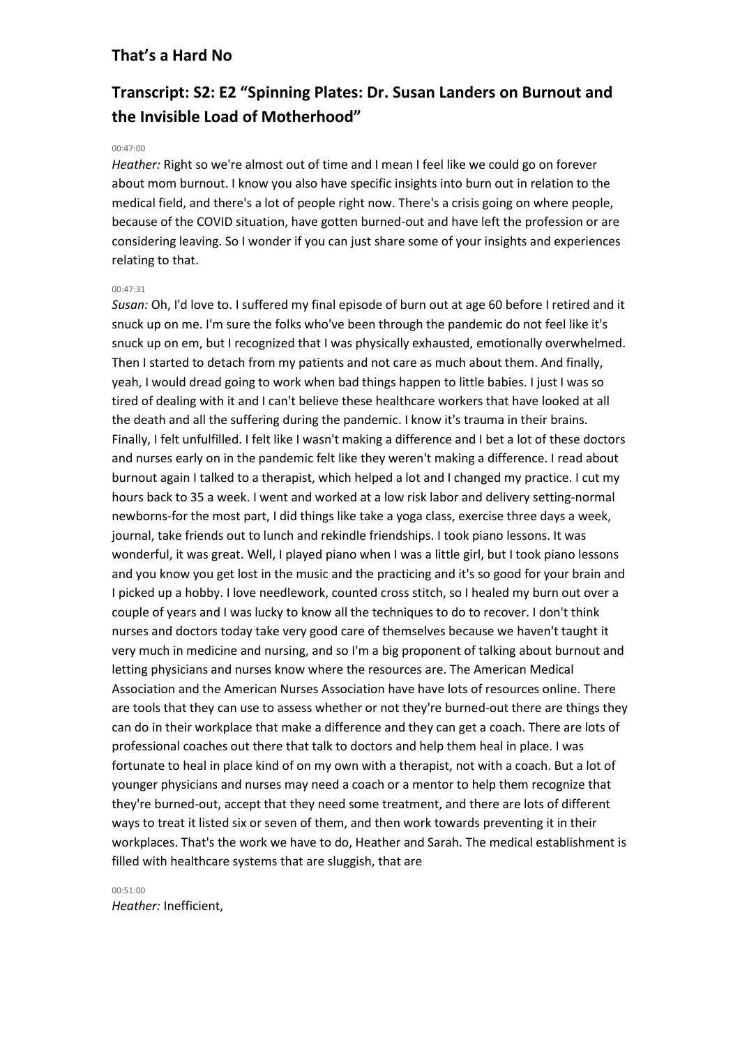# **Transcript: S2: E2 "Spinning Plates: Dr. Susan Landers on Burnout and the Invisible Load of Motherhood"**

### 00:47:00

*Heather:* Right so we're almost out of time and I mean I feel like we could go on forever about mom burnout. I know you also have specific insights into burn out in relation to the medical field, and there's a lot of people right now. There's a crisis going on where people, because of the COVID situation, have gotten burned-out and have left the profession or are considering leaving. So I wonder if you can just share some of your insights and experiences relating to that.

#### 00:47:31

*Susan:* Oh, I'd love to. I suffered my final episode of burn out at age 60 before I retired and it snuck up on me. I'm sure the folks who've been through the pandemic do not feel like it's snuck up on em, but I recognized that I was physically exhausted, emotionally overwhelmed. Then I started to detach from my patients and not care as much about them. And finally, yeah, I would dread going to work when bad things happen to little babies. I just I was so tired of dealing with it and I can't believe these healthcare workers that have looked at all the death and all the suffering during the pandemic. I know it's trauma in their brains. Finally, I felt unfulfilled. I felt like I wasn't making a difference and I bet a lot of these doctors and nurses early on in the pandemic felt like they weren't making a difference. I read about burnout again I talked to a therapist, which helped a lot and I changed my practice. I cut my hours back to 35 a week. I went and worked at a low risk labor and delivery setting-normal newborns-for the most part, I did things like take a yoga class, exercise three days a week, journal, take friends out to lunch and rekindle friendships. I took piano lessons. It was wonderful, it was great. Well, I played piano when I was a little girl, but I took piano lessons and you know you get lost in the music and the practicing and it's so good for your brain and I picked up a hobby. I love needlework, counted cross stitch, so I healed my burn out over a couple of years and I was lucky to know all the techniques to do to recover. I don't think nurses and doctors today take very good care of themselves because we haven't taught it very much in medicine and nursing, and so I'm a big proponent of talking about burnout and letting physicians and nurses know where the resources are. The American Medical Association and the American Nurses Association have have lots of resources online. There are tools that they can use to assess whether or not they're burned-out there are things they can do in their workplace that make a difference and they can get a coach. There are lots of professional coaches out there that talk to doctors and help them heal in place. I was fortunate to heal in place kind of on my own with a therapist, not with a coach. But a lot of younger physicians and nurses may need a coach or a mentor to help them recognize that they're burned-out, accept that they need some treatment, and there are lots of different ways to treat it listed six or seven of them, and then work towards preventing it in their workplaces. That's the work we have to do, Heather and Sarah. The medical establishment is filled with healthcare systems that are sluggish, that are

00:51:00 *Heather:* Inefficient,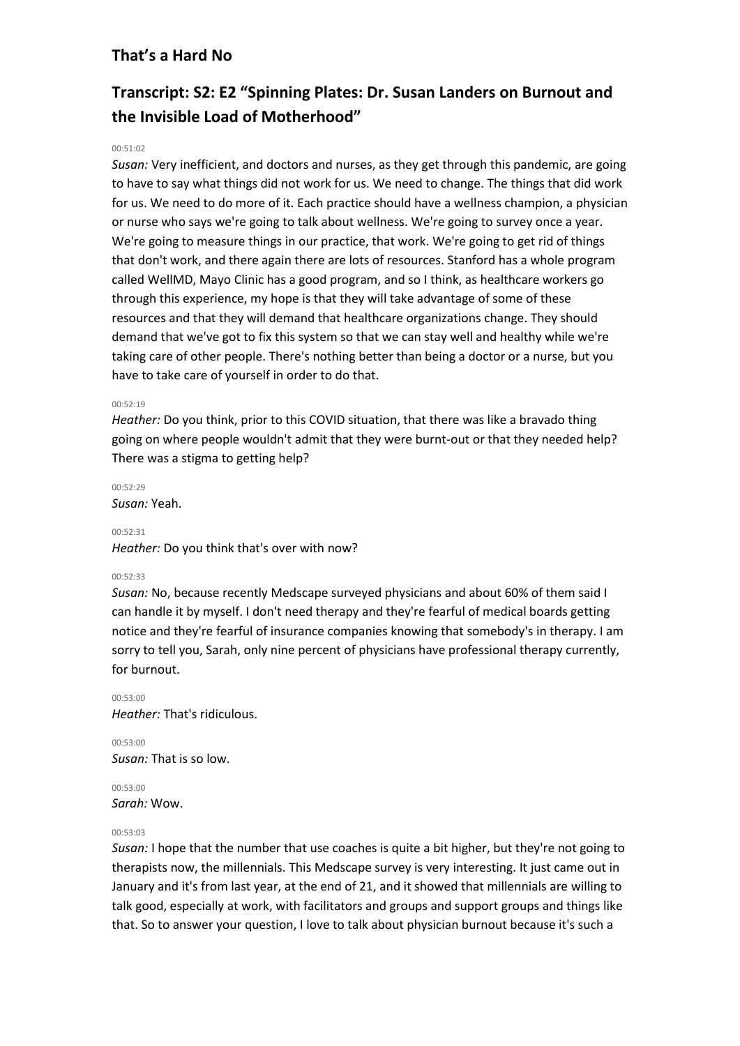# **Transcript: S2: E2 "Spinning Plates: Dr. Susan Landers on Burnout and the Invisible Load of Motherhood"**

# $00:51:02$

*Susan:* Very inefficient, and doctors and nurses, as they get through this pandemic, are going to have to say what things did not work for us. We need to change. The things that did work for us. We need to do more of it. Each practice should have a wellness champion, a physician or nurse who says we're going to talk about wellness. We're going to survey once a year. We're going to measure things in our practice, that work. We're going to get rid of things that don't work, and there again there are lots of resources. Stanford has a whole program called WellMD, Mayo Clinic has a good program, and so I think, as healthcare workers go through this experience, my hope is that they will take advantage of some of these resources and that they will demand that healthcare organizations change. They should demand that we've got to fix this system so that we can stay well and healthy while we're taking care of other people. There's nothing better than being a doctor or a nurse, but you have to take care of yourself in order to do that.

## 00:52:19

*Heather:* Do you think, prior to this COVID situation, that there was like a bravado thing going on where people wouldn't admit that they were burnt-out or that they needed help? There was a stigma to getting help?

00:52:29 *Susan:* Yeah.

00:52:31 *Heather:* Do you think that's over with now?

## 00:52:33

*Susan:* No, because recently Medscape surveyed physicians and about 60% of them said I can handle it by myself. I don't need therapy and they're fearful of medical boards getting notice and they're fearful of insurance companies knowing that somebody's in therapy. I am sorry to tell you, Sarah, only nine percent of physicians have professional therapy currently, for burnout.

00:53:00 *Heather:* That's ridiculous.

00:53:00 *Susan:* That is so low.

00:53:00 *Sarah:* Wow.

## 00:53:03

*Susan:* I hope that the number that use coaches is quite a bit higher, but they're not going to therapists now, the millennials. This Medscape survey is very interesting. It just came out in January and it's from last year, at the end of 21, and it showed that millennials are willing to talk good, especially at work, with facilitators and groups and support groups and things like that. So to answer your question, I love to talk about physician burnout because it's such a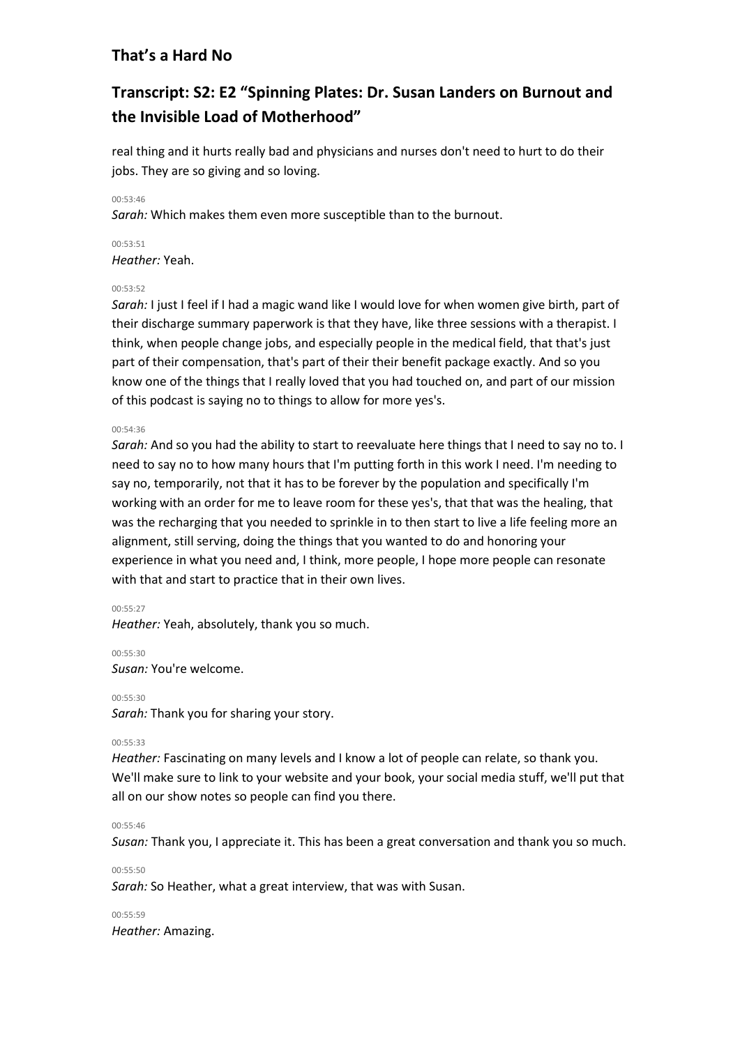# **Transcript: S2: E2 "Spinning Plates: Dr. Susan Landers on Burnout and the Invisible Load of Motherhood"**

real thing and it hurts really bad and physicians and nurses don't need to hurt to do their jobs. They are so giving and so loving.

00:53:46

*Sarah:* Which makes them even more susceptible than to the burnout.

00:53:51 *Heather:* Yeah.

## 00:53:52

*Sarah:* I just I feel if I had a magic wand like I would love for when women give birth, part of their discharge summary paperwork is that they have, like three sessions with a therapist. I think, when people change jobs, and especially people in the medical field, that that's just part of their compensation, that's part of their their benefit package exactly. And so you know one of the things that I really loved that you had touched on, and part of our mission of this podcast is saying no to things to allow for more yes's.

## 00:54:36

*Sarah:* And so you had the ability to start to reevaluate here things that I need to say no to. I need to say no to how many hours that I'm putting forth in this work I need. I'm needing to say no, temporarily, not that it has to be forever by the population and specifically I'm working with an order for me to leave room for these yes's, that that was the healing, that was the recharging that you needed to sprinkle in to then start to live a life feeling more an alignment, still serving, doing the things that you wanted to do and honoring your experience in what you need and, I think, more people, I hope more people can resonate with that and start to practice that in their own lives.

## 00:55:27

*Heather:* Yeah, absolutely, thank you so much.

00:55:30 *Susan:* You're welcome.

00:55:30

*Sarah:* Thank you for sharing your story.

# 00:55:33

*Heather:* Fascinating on many levels and I know a lot of people can relate, so thank you. We'll make sure to link to your website and your book, your social media stuff, we'll put that all on our show notes so people can find you there.

## 00:55:46

*Susan:* Thank you, I appreciate it. This has been a great conversation and thank you so much.

00:55:50

*Sarah:* So Heather, what a great interview, that was with Susan.

00:55:59 *Heather:* Amazing.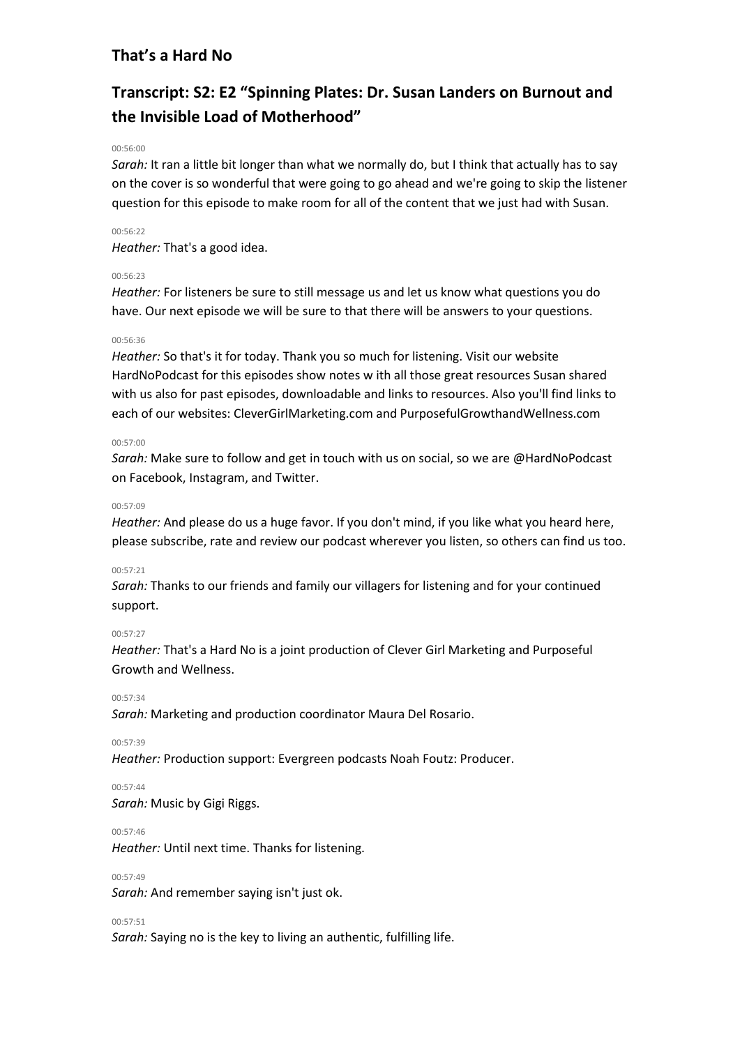# **Transcript: S2: E2 "Spinning Plates: Dr. Susan Landers on Burnout and the Invisible Load of Motherhood"**

## 00:56:00

*Sarah:* It ran a little bit longer than what we normally do, but I think that actually has to say on the cover is so wonderful that were going to go ahead and we're going to skip the listener question for this episode to make room for all of the content that we just had with Susan.

# 00:56:22

*Heather:* That's a good idea.

# 00:56:23

*Heather:* For listeners be sure to still message us and let us know what questions you do have. Our next episode we will be sure to that there will be answers to your questions.

## 00:56:36

*Heather:* So that's it for today. Thank you so much for listening. Visit our website HardNoPodcast for this episodes show notes w ith all those great resources Susan shared with us also for past episodes, downloadable and links to resources. Also you'll find links to each of our websites: CleverGirlMarketing.com and PurposefulGrowthandWellness.com

## 00:57:00

*Sarah:* Make sure to follow and get in touch with us on social, so we are @HardNoPodcast on Facebook, Instagram, and Twitter.

#### 00:57:09

*Heather:* And please do us a huge favor. If you don't mind, if you like what you heard here, please subscribe, rate and review our podcast wherever you listen, so others can find us too.

## 00:57:21

*Sarah:* Thanks to our friends and family our villagers for listening and for your continued support.

## 00:57:27

*Heather:* That's a Hard No is a joint production of Clever Girl Marketing and Purposeful Growth and Wellness.

00:57:34

*Sarah:* Marketing and production coordinator Maura Del Rosario.

00:57:39

*Heather:* Production support: Evergreen podcasts Noah Foutz: Producer.

00:57:44

*Sarah:* Music by Gigi Riggs.

00:57:46

*Heather:* Until next time. Thanks for listening.

00:57:49

*Sarah:* And remember saying isn't just ok.

00:57:51

*Sarah:* Saying no is the key to living an authentic, fulfilling life.